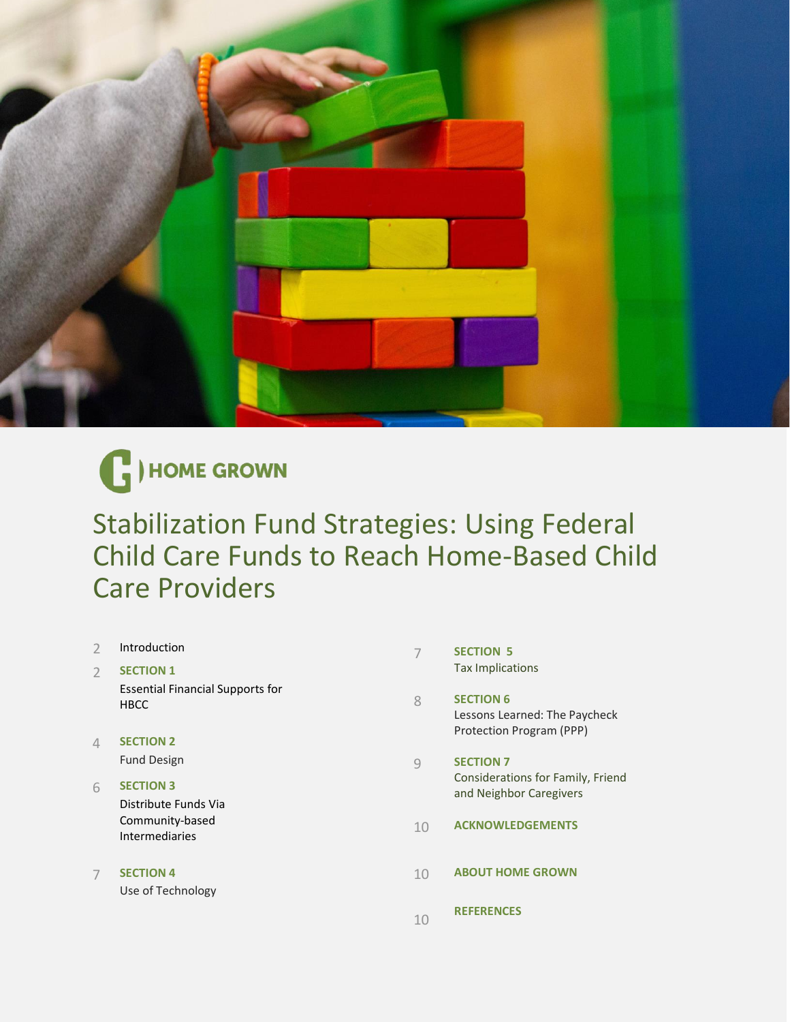

# HOME GROWN

### Stabilization Fund Strategies: Using Federal Child Care Funds to Reach Home-Based Child Care Providers

- 2 Introduction 2 **[SECTION 1](#page-1-0)** Essential Financial Supports for
- 4 **[SECTION 2](#page-3-0)**

**HBCC** 

- Fund Design
- 6 **[SECTION 3](#page-5-0)** Distribute Funds Via Community-based Intermediaries
- 7 **[SECTION 4](#page-6-1)**  Use of Technology
- 7 **[SECTION 5](#page-6-0)** Tax Implications
- 8 **[SECTION 6](#page-7-0)** Lessons Learned: The Paycheck Protection Program (PPP)
- 9 **[SECTION 7](#page-8-0)** Considerations for Family, Friend and Neighbor Caregivers
- 10 **[ACKNOWLEDGEMENTS](#page-9-0)**
- 10 **[ABOUT HOME GROWN](#page-9-1)**
- <sup>10</sup> **[REFERENCES](#page-9-2)**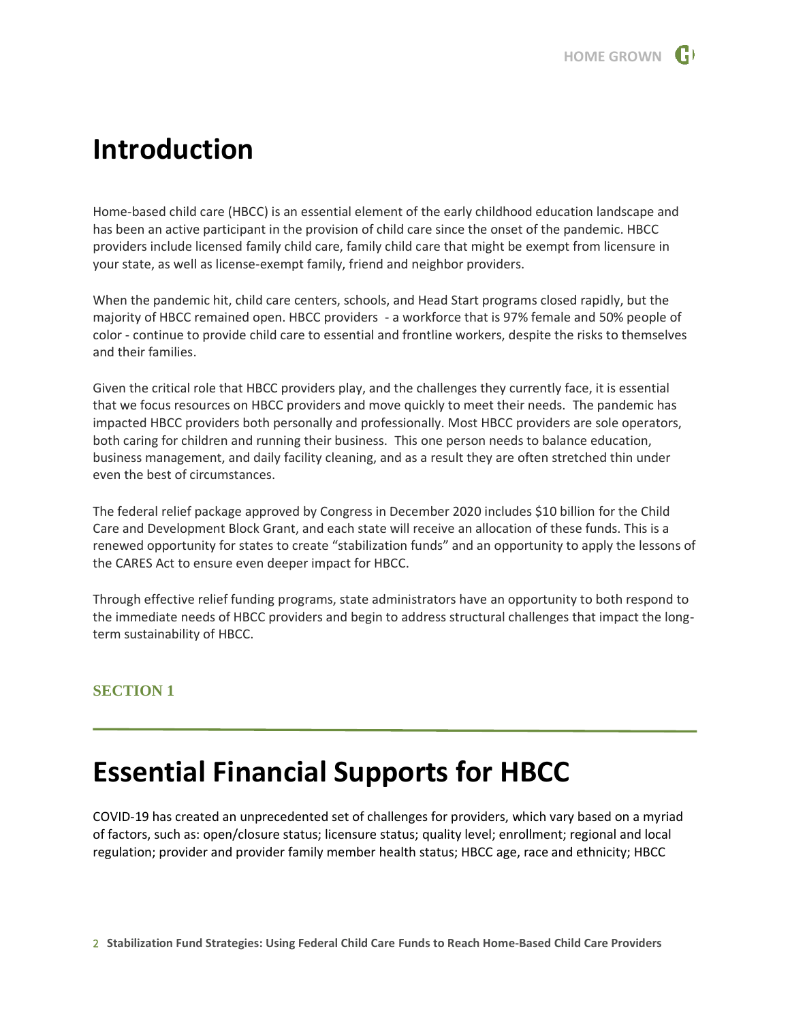### **Introduction**

Home-based child care (HBCC) is an essential element of the early childhood education landscape and has been an active participant in the provision of child care since the onset of the pandemic. HBCC providers include licensed family child care, family child care that might be exempt from licensure in your state, as well as license-exempt family, friend and neighbor providers.

When the pandemic hit, child care centers, schools, and Head Start programs closed rapidly, but the majority of HBCC remained open. HBCC providers - a workforce that is 97% female and 50% people of color - continue to provide child care to essential and frontline workers, despite the risks to themselves and their families.

Given the critical role that HBCC providers play, and the challenges they currently face, it is essential that we focus resources on HBCC providers and move quickly to meet their needs. The pandemic has impacted HBCC providers both personally and professionally. Most HBCC providers are sole operators, both caring for children and running their business. This one person needs to balance education, business management, and daily facility cleaning, and as a result they are often stretched thin under even the best of circumstances.

The federal relief package approved by Congress in December 2020 includes \$10 billion for the Child Care and Development Block Grant, and each state will receive an allocation of these funds. This is a renewed opportunity for states to create "stabilization funds" and an opportunity to apply the lessons of the CARES Act to ensure even deeper impact for HBCC.

Through effective relief funding programs, state administrators have an opportunity to both respond to the immediate needs of HBCC providers and begin to address structural challenges that impact the longterm sustainability of HBCC.

#### <span id="page-1-0"></span>**SECTION 1**

### **Essential Financial Supports for HBCC**

COVID-19 has created an unprecedented set of challenges for providers, which vary based on a myriad of factors, such as: open/closure status; licensure status; quality level; enrollment; regional and local regulation; provider and provider family member health status; HBCC age, race and ethnicity; HBCC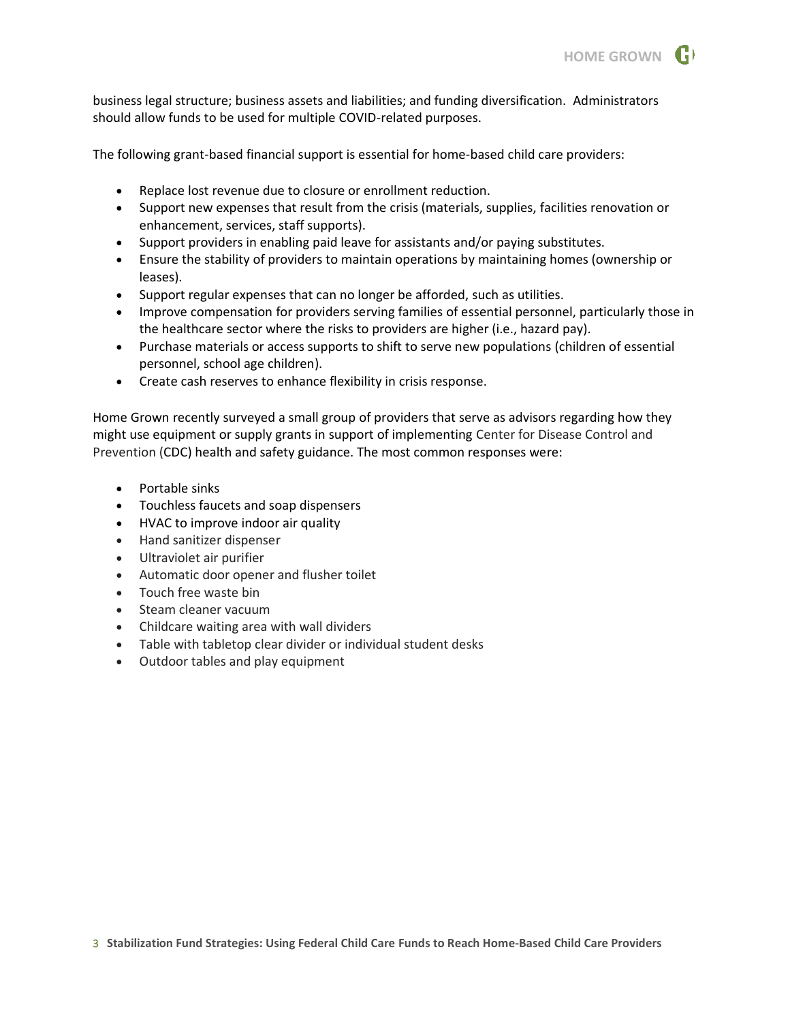business legal structure; business assets and liabilities; and funding diversification. Administrators should allow funds to be used for multiple COVID-related purposes.

The following grant-based financial support is essential for home-based child care providers:

- Replace lost revenue due to closure or enrollment reduction.
- Support new expenses that result from the crisis (materials, supplies, facilities renovation or enhancement, services, staff supports).
- Support providers in enabling paid leave for assistants and/or paying substitutes.
- Ensure the stability of providers to maintain operations by maintaining homes (ownership or leases).
- Support regular expenses that can no longer be afforded, such as utilities.
- Improve compensation for providers serving families of essential personnel, particularly those in the healthcare sector where the risks to providers are higher (i.e., hazard pay).
- Purchase materials or access supports to shift to serve new populations (children of essential personnel, school age children).
- Create cash reserves to enhance flexibility in crisis response.

Home Grown recently surveyed a small group of providers that serve as advisors regarding how they might use equipment or supply grants in support of implementing Center for Disease Control and Prevention (CDC) health and safety guidance. The most common responses were:

- Portable sinks
- Touchless faucets and soap dispensers
- HVAC to improve indoor air quality
- Hand sanitizer dispenser
- Ultraviolet air purifier
- Automatic door opener and flusher toilet
- Touch free waste bin
- Steam cleaner vacuum
- Childcare waiting area with wall dividers
- Table with tabletop clear divider or individual student desks
- Outdoor tables and play equipment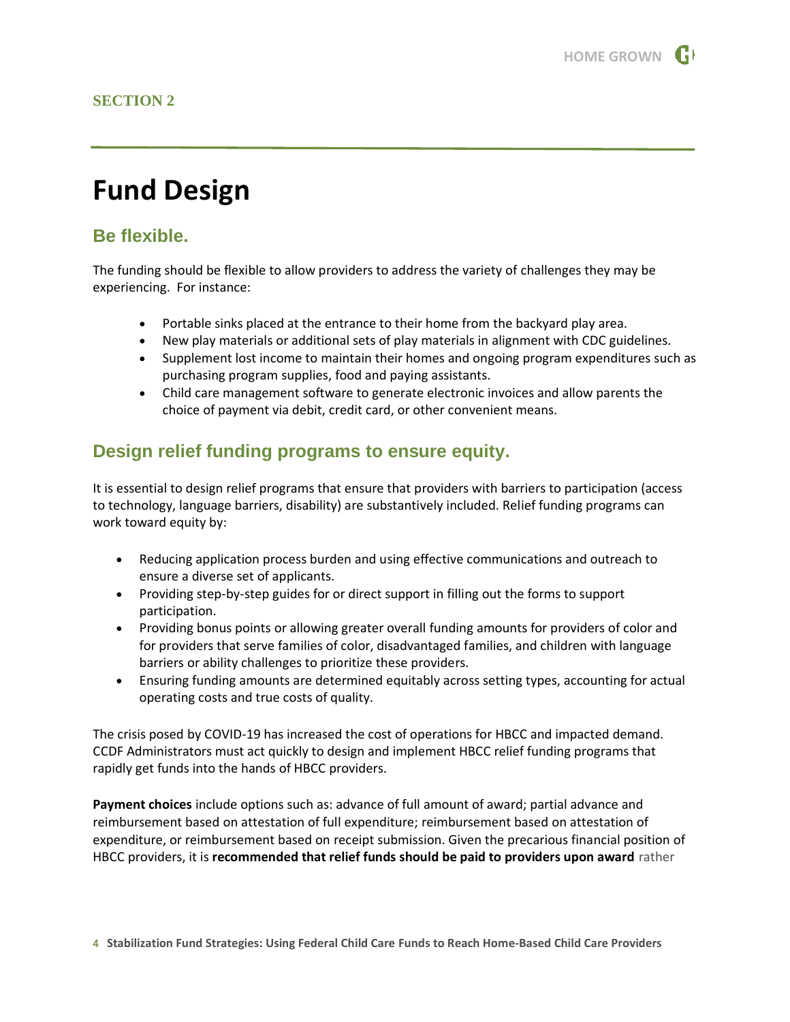### <span id="page-3-0"></span>**Fund Design**

#### **Be flexible.**

The funding should be flexible to allow providers to address the variety of challenges they may be experiencing. For instance:

- Portable sinks placed at the entrance to their home from the backyard play area.
- New play materials or additional sets of play materials in alignment with CDC guidelines.
- Supplement lost income to maintain their homes and ongoing program expenditures such as purchasing program supplies, food and paying assistants.
- Child care management software to generate electronic invoices and allow parents the choice of payment via debit, credit card, or other convenient means.

#### **Design relief funding programs to ensure equity.**

It is essential to design relief programs that ensure that providers with barriers to participation (access to technology, language barriers, disability) are substantively included. Relief funding programs can work toward equity by:

- Reducing application process burden and using effective communications and outreach to ensure a diverse set of applicants.
- Providing step-by-step guides for or direct support in filling out the forms to support participation.
- Providing bonus points or allowing greater overall funding amounts for providers of color and for providers that serve families of color, disadvantaged families, and children with language barriers or ability challenges to prioritize these providers.
- Ensuring funding amounts are determined equitably across setting types, accounting for actual operating costs and true costs of quality.

The crisis posed by COVID-19 has increased the cost of operations for HBCC and impacted demand. CCDF Administrators must act quickly to design and implement HBCC relief funding programs that rapidly get funds into the hands of HBCC providers.

**Payment choices** include options such as: advance of full amount of award; partial advance and reimbursement based on attestation of full expenditure; reimbursement based on attestation of expenditure, or reimbursement based on receipt submission. Given the precarious financial position of HBCC providers, it is **recommended that relief funds should be paid to providers upon award** rather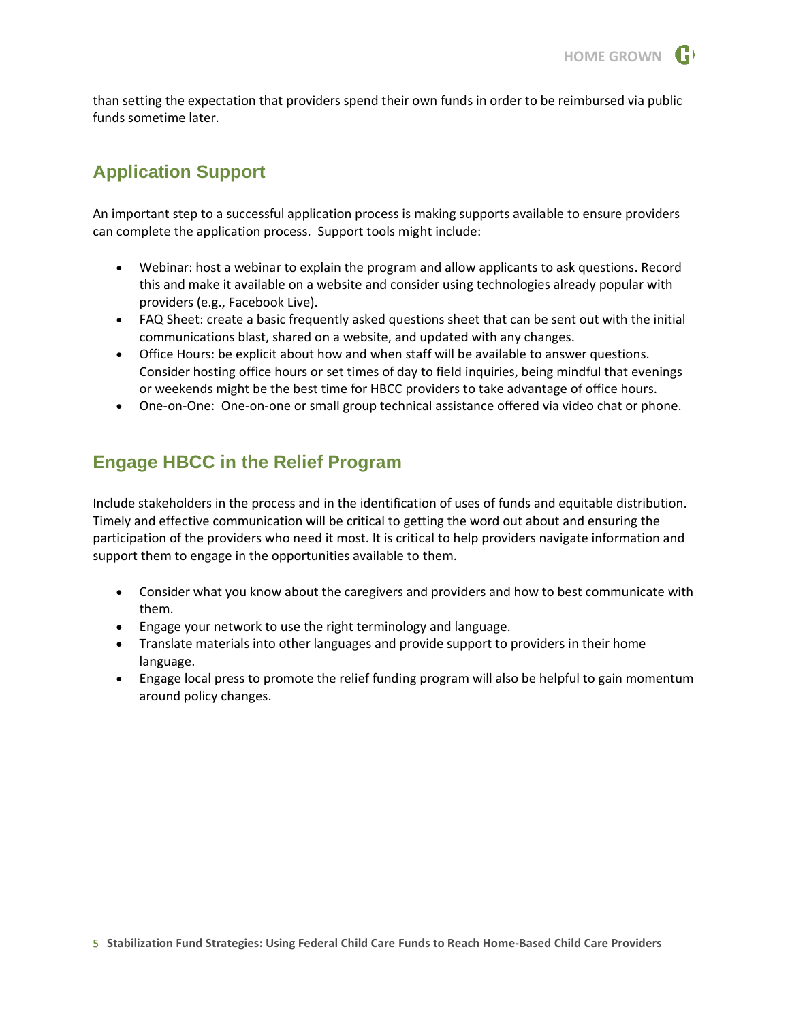than setting the expectation that providers spend their own funds in order to be reimbursed via public funds sometime later.

### **Application Support**

An important step to a successful application process is making supports available to ensure providers can complete the application process. Support tools might include:

- Webinar: host a webinar to explain the program and allow applicants to ask questions. Record this and make it available on a website and consider using technologies already popular with providers (e.g., Facebook Live).
- FAQ Sheet: create a basic frequently asked questions sheet that can be sent out with the initial communications blast, shared on a website, and updated with any changes.
- Office Hours: be explicit about how and when staff will be available to answer questions. Consider hosting office hours or set times of day to field inquiries, being mindful that evenings or weekends might be the best time for HBCC providers to take advantage of office hours.
- One-on-One: One-on-one or small group technical assistance offered via video chat or phone.

### **Engage HBCC in the Relief Program**

Include stakeholders in the process and in the identification of uses of funds and equitable distribution. Timely and effective communication will be critical to getting the word out about and ensuring the participation of the providers who need it most. It is critical to help providers navigate information and support them to engage in the opportunities available to them.

- Consider what you know about the caregivers and providers and how to best communicate with them.
- Engage your network to use the right terminology and language.
- Translate materials into other languages and provide support to providers in their home language.
- Engage local press to promote the relief funding program will also be helpful to gain momentum around policy changes.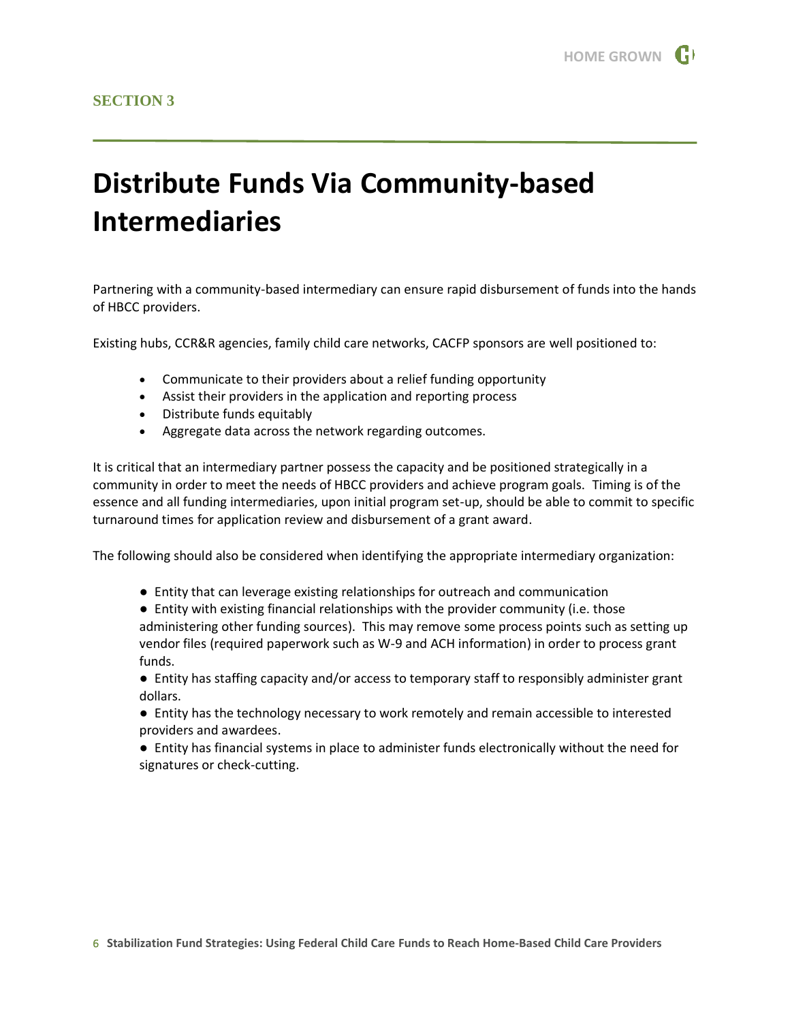# <span id="page-5-0"></span>**Distribute Funds Via Community-based Intermediaries**

Partnering with a community-based intermediary can ensure rapid disbursement of funds into the hands of HBCC providers.

Existing hubs, CCR&R agencies, family child care networks, CACFP sponsors are well positioned to:

- Communicate to their providers about a relief funding opportunity
- Assist their providers in the application and reporting process
- Distribute funds equitably
- Aggregate data across the network regarding outcomes.

It is critical that an intermediary partner possess the capacity and be positioned strategically in a community in order to meet the needs of HBCC providers and achieve program goals. Timing is of the essence and all funding intermediaries, upon initial program set-up, should be able to commit to specific turnaround times for application review and disbursement of a grant award.

The following should also be considered when identifying the appropriate intermediary organization:

● Entity that can leverage existing relationships for outreach and communication

● Entity with existing financial relationships with the provider community (i.e. those administering other funding sources). This may remove some process points such as setting up vendor files (required paperwork such as W-9 and ACH information) in order to process grant funds.

- Entity has staffing capacity and/or access to temporary staff to responsibly administer grant dollars.
- Entity has the technology necessary to work remotely and remain accessible to interested providers and awardees.
- Entity has financial systems in place to administer funds electronically without the need for signatures or check-cutting.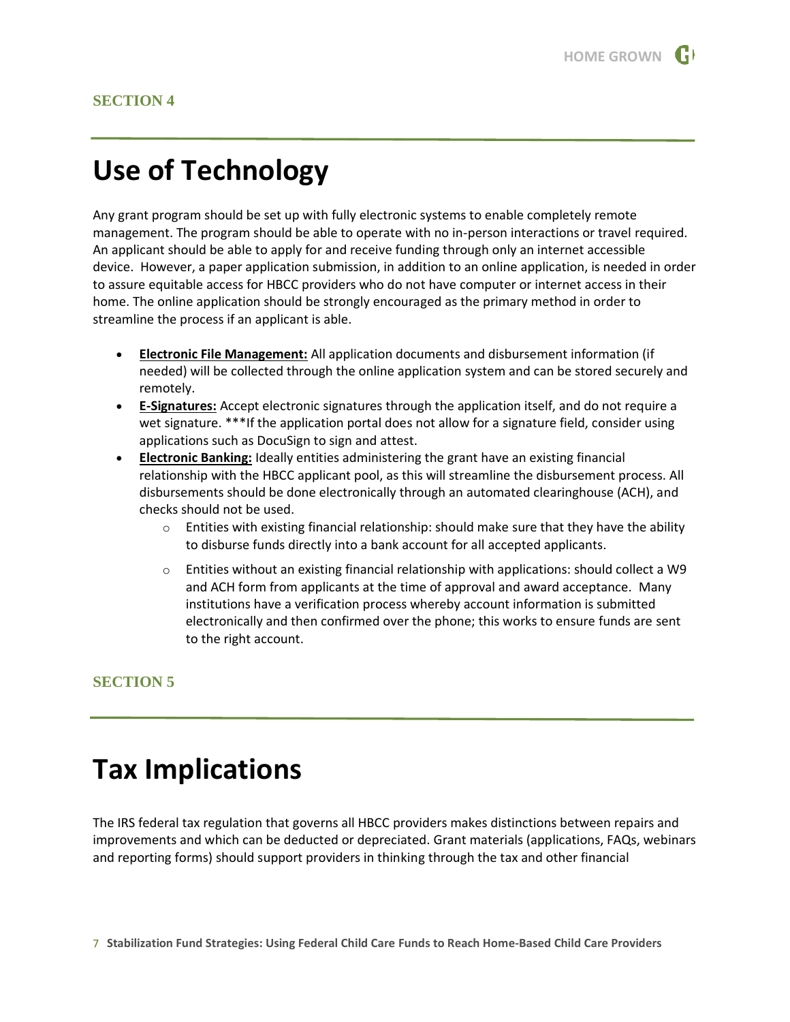# <span id="page-6-1"></span>**Use of Technology**

Any grant program should be set up with fully electronic systems to enable completely remote management. The program should be able to operate with no in-person interactions or travel required. An applicant should be able to apply for and receive funding through only an internet accessible device. However, a paper application submission, in addition to an online application, is needed in order to assure equitable access for HBCC providers who do not have computer or internet access in their home. The online application should be strongly encouraged as the primary method in order to streamline the process if an applicant is able.

- **Electronic File Management:** All application documents and disbursement information (if needed) will be collected through the online application system and can be stored securely and remotely.
- **E-Signatures:** Accept electronic signatures through the application itself, and do not require a wet signature. \*\*\*If the application portal does not allow for a signature field, consider using applications such as DocuSign to sign and attest.
- **Electronic Banking:** Ideally entities administering the grant have an existing financial relationship with the HBCC applicant pool, as this will streamline the disbursement process. All disbursements should be done electronically through an automated clearinghouse (ACH), and checks should not be used.
	- $\circ$  Entities with existing financial relationship: should make sure that they have the ability to disburse funds directly into a bank account for all accepted applicants.
	- $\circ$  Entities without an existing financial relationship with applications: should collect a W9 and ACH form from applicants at the time of approval and award acceptance. Many institutions have a verification process whereby account information is submitted electronically and then confirmed over the phone; this works to ensure funds are sent to the right account.

#### <span id="page-6-0"></span>**SECTION 5**

### **Tax Implications**

The IRS federal tax regulation that governs all HBCC providers makes distinctions between repairs and improvements and which can be deducted or depreciated. Grant materials (applications, FAQs, webinars and reporting forms) should support providers in thinking through the tax and other financial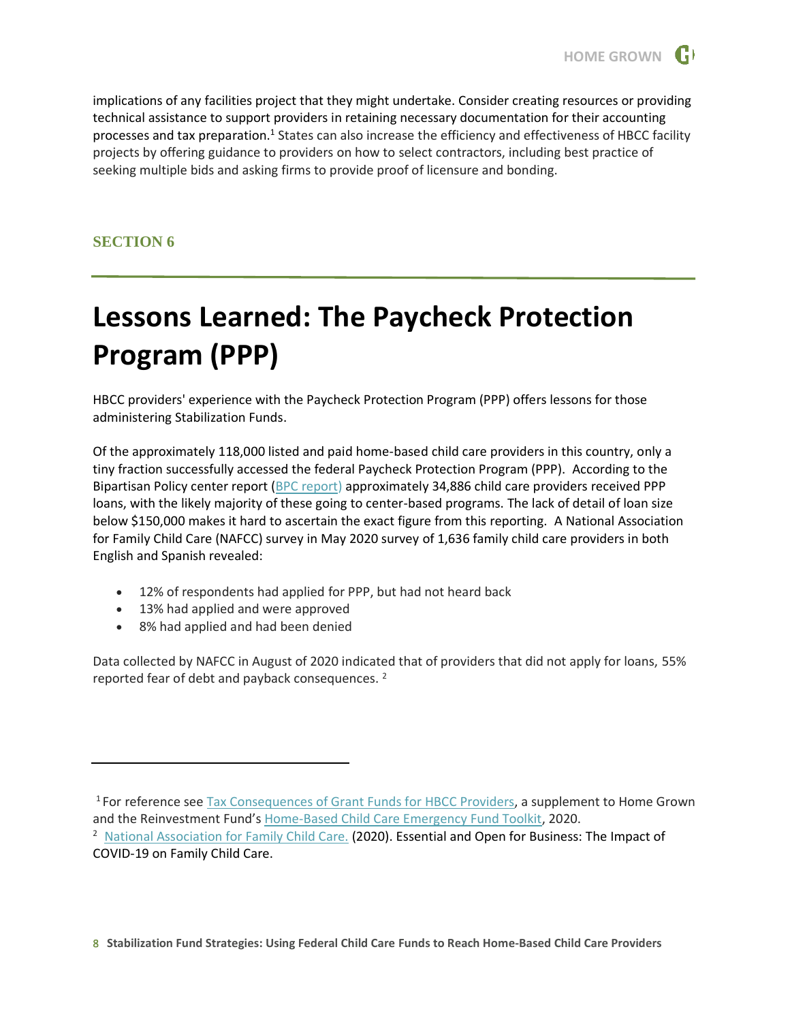implications of any facilities project that they might undertake. Consider creating resources or providing technical assistance to support providers in retaining necessary documentation for their accounting processes and tax preparation.<sup>1</sup> States can also increase the efficiency and effectiveness of HBCC facility projects by offering guidance to providers on how to select contractors, including best practice of seeking multiple bids and asking firms to provide proof of licensure and bonding.

#### <span id="page-7-0"></span>**SECTION 6**

# **Lessons Learned: The Paycheck Protection Program (PPP)**

HBCC providers' experience with the Paycheck Protection Program (PPP) offers lessons for those administering Stabilization Funds.

Of the approximately 118,000 listed and paid home-based child care providers in this country, only a tiny fraction successfully accessed the federal Paycheck Protection Program (PPP). According to the Bipartisan Policy center report [\(BPC report\)](https://bipartisanpolicy.org/press-release/child-care-essential-to-economic-recovery-received-just-2-3-billion-in-ppp-funds/) approximately 34,886 child care providers received PPP loans, with the likely majority of these going to center-based programs. The lack of detail of loan size below \$150,000 makes it hard to ascertain the exact figure from this reporting. A National Association for Family Child Care (NAFCC) survey in May 2020 survey of 1,636 family child care providers in both English and Spanish revealed:

- 12% of respondents had applied for PPP, but had not heard back
- 13% had applied and were approved
- 8% had applied and had been denied

Data collected by NAFCC in August of 2020 indicated that of providers that did not apply for loans, 55% reported fear of debt and payback consequences. <sup>2</sup>

8 **Stabilization Fund Strategies: Using Federal Child Care Funds to Reach Home-Based Child Care Providers**

<sup>&</sup>lt;sup>1</sup> For reference see [Tax Consequences of Grant Funds for HBCC Providers,](https://www.reinvestment.com/wp-content/uploads/2020/05/Home-Based-Child-Care-Emergency-Fund-Tax-Consequences-of-Grant-Funds-for-HBCC-Providers.pdf) a supplement to Home Grown and the Reinvestment Fund's [Home-Based Child Care Emergency Fund Toolkit,](https://www.reinvestment.com/wp-content/uploads/2020/03/Home-Based-Child-Care-Emergency-Fund-A-Toolkit-for-Funders.pdf) 2020.

<sup>&</sup>lt;sup>2</sup> [National Association for Family Child Care.](https://www.nafcc.org/File/5dd05d59-247d-4fd5-be90-70f8dda6ae28) (2020). Essential and Open for Business: The Impact of COVID-19 on Family Child Care.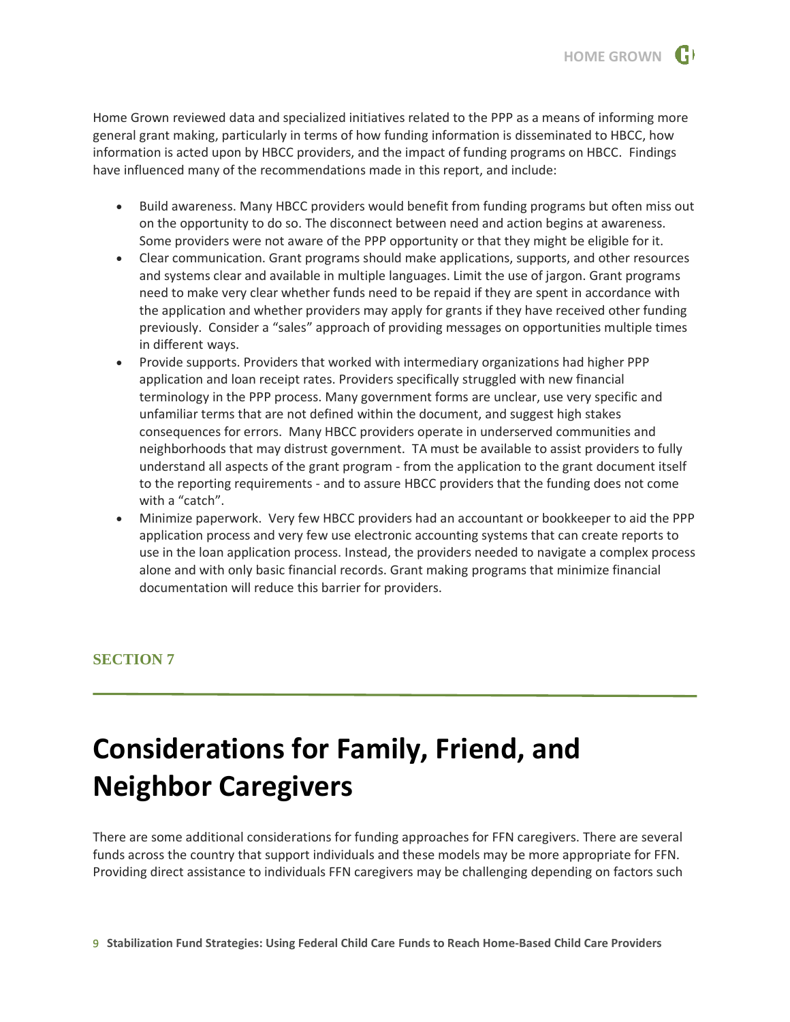Home Grown reviewed data and specialized initiatives related to the PPP as a means of informing more general grant making, particularly in terms of how funding information is disseminated to HBCC, how information is acted upon by HBCC providers, and the impact of funding programs on HBCC. Findings have influenced many of the recommendations made in this report, and include:

- Build awareness. Many HBCC providers would benefit from funding programs but often miss out on the opportunity to do so. The disconnect between need and action begins at awareness. Some providers were not aware of the PPP opportunity or that they might be eligible for it.
- Clear communication. Grant programs should make applications, supports, and other resources and systems clear and available in multiple languages. Limit the use of jargon. Grant programs need to make very clear whether funds need to be repaid if they are spent in accordance with the application and whether providers may apply for grants if they have received other funding previously. Consider a "sales" approach of providing messages on opportunities multiple times in different ways.
- Provide supports. Providers that worked with intermediary organizations had higher PPP application and loan receipt rates. Providers specifically struggled with new financial terminology in the PPP process. Many government forms are unclear, use very specific and unfamiliar terms that are not defined within the document, and suggest high stakes consequences for errors. Many HBCC providers operate in underserved communities and neighborhoods that may distrust government. TA must be available to assist providers to fully understand all aspects of the grant program - from the application to the grant document itself to the reporting requirements - and to assure HBCC providers that the funding does not come with a "catch".
- Minimize paperwork. Very few HBCC providers had an accountant or bookkeeper to aid the PPP application process and very few use electronic accounting systems that can create reports to use in the loan application process. Instead, the providers needed to navigate a complex process alone and with only basic financial records. Grant making programs that minimize financial documentation will reduce this barrier for providers.

#### <span id="page-8-0"></span>**SECTION 7**

# **Considerations for Family, Friend, and Neighbor Caregivers**

There are some additional considerations for funding approaches for FFN caregivers. There are several funds across the country that support individuals and these models may be more appropriate for FFN. Providing direct assistance to individuals FFN caregivers may be challenging depending on factors such